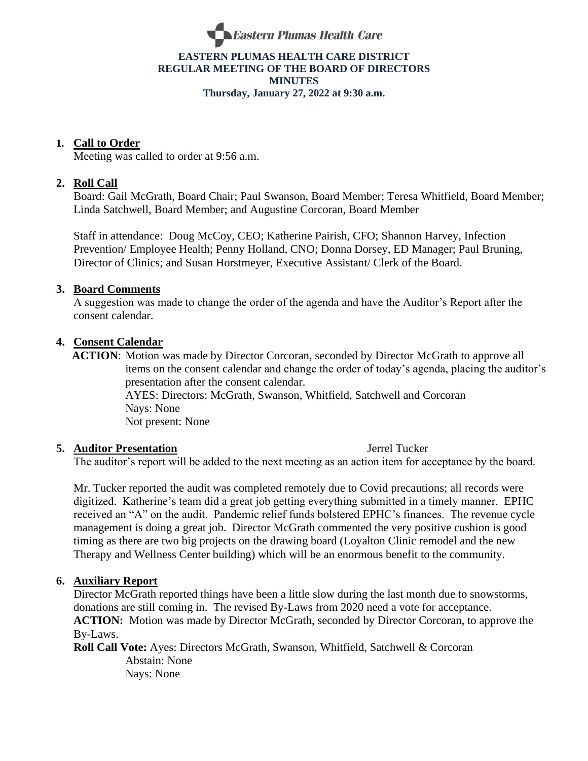

#### **EASTERN PLUMAS HEALTH CARE DISTRICT REGULAR MEETING OF THE BOARD OF DIRECTORS MINUTES Thursday, January 27, 2022 at 9:30 a.m.**

### **1. Call to Order**

Meeting was called to order at 9:56 a.m.

### **2. Roll Call**

Board: Gail McGrath, Board Chair; Paul Swanson, Board Member; Teresa Whitfield, Board Member; Linda Satchwell, Board Member; and Augustine Corcoran, Board Member

Staff in attendance: Doug McCoy, CEO; Katherine Pairish, CFO; Shannon Harvey, Infection Prevention/ Employee Health; Penny Holland, CNO; Donna Dorsey, ED Manager; Paul Bruning, Director of Clinics; and Susan Horstmeyer, Executive Assistant/ Clerk of the Board.

#### **3. Board Comments**

A suggestion was made to change the order of the agenda and have the Auditor's Report after the consent calendar.

#### **4. Consent Calendar**

 **ACTION**: Motion was made by Director Corcoran, seconded by Director McGrath to approve all items on the consent calendar and change the order of today's agenda, placing the auditor's presentation after the consent calendar. AYES: Directors: McGrath, Swanson, Whitfield, Satchwell and Corcoran Nays: None Not present: None

#### **5. Auditor Presentation** Jerrel Tucker

The auditor's report will be added to the next meeting as an action item for acceptance by the board.

Mr. Tucker reported the audit was completed remotely due to Covid precautions; all records were digitized. Katherine's team did a great job getting everything submitted in a timely manner. EPHC received an "A" on the audit. Pandemic relief funds bolstered EPHC's finances. The revenue cycle management is doing a great job. Director McGrath commented the very positive cushion is good timing as there are two big projects on the drawing board (Loyalton Clinic remodel and the new Therapy and Wellness Center building) which will be an enormous benefit to the community.

#### **6. Auxiliary Report**

Director McGrath reported things have been a little slow during the last month due to snowstorms, donations are still coming in. The revised By-Laws from 2020 need a vote for acceptance. **ACTION:** Motion was made by Director McGrath, seconded by Director Corcoran, to approve the By-Laws.

**Roll Call Vote:** Ayes: Directors McGrath, Swanson, Whitfield, Satchwell & Corcoran Abstain: None Nays: None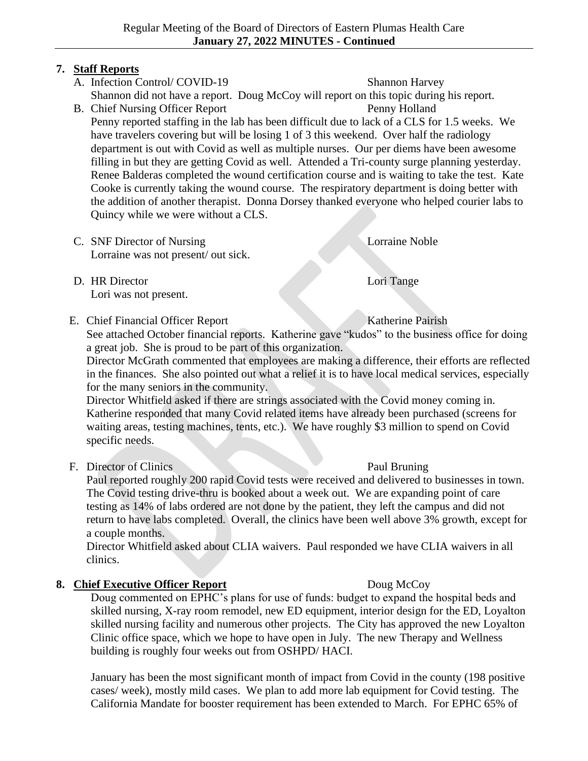## **7. Staff Reports**

- A. Infection Control/ COVID-19 Shannon Harvey Shannon did not have a report. Doug McCoy will report on this topic during his report.
- B. Chief Nursing Officer Report Penny Holland Penny reported staffing in the lab has been difficult due to lack of a CLS for 1.5 weeks. We have travelers covering but will be losing 1 of 3 this weekend. Over half the radiology department is out with Covid as well as multiple nurses. Our per diems have been awesome filling in but they are getting Covid as well. Attended a Tri-county surge planning yesterday. Renee Balderas completed the wound certification course and is waiting to take the test. Kate Cooke is currently taking the wound course. The respiratory department is doing better with the addition of another therapist. Donna Dorsey thanked everyone who helped courier labs to Quincy while we were without a CLS.
- C. SNF Director of Nursing Lorraine Noble Lorraine was not present/ out sick.
- D. HR Director Lori Tange Lori was not present.
- E. Chief Financial Officer Report Katherine Pairish

See attached October financial reports. Katherine gave "kudos" to the business office for doing a great job. She is proud to be part of this organization.

Director McGrath commented that employees are making a difference, their efforts are reflected in the finances. She also pointed out what a relief it is to have local medical services, especially for the many seniors in the community.

Director Whitfield asked if there are strings associated with the Covid money coming in. Katherine responded that many Covid related items have already been purchased (screens for waiting areas, testing machines, tents, etc.). We have roughly \$3 million to spend on Covid specific needs.

F. Director of Clinics Paul Bruning

Paul reported roughly 200 rapid Covid tests were received and delivered to businesses in town. The Covid testing drive-thru is booked about a week out. We are expanding point of care testing as 14% of labs ordered are not done by the patient, they left the campus and did not return to have labs completed. Overall, the clinics have been well above 3% growth, except for a couple months.

Director Whitfield asked about CLIA waivers. Paul responded we have CLIA waivers in all clinics.

## **8. Chief Executive Officer Report** Doug McCoy

Doug commented on EPHC's plans for use of funds: budget to expand the hospital beds and skilled nursing, X-ray room remodel, new ED equipment, interior design for the ED, Loyalton skilled nursing facility and numerous other projects. The City has approved the new Loyalton Clinic office space, which we hope to have open in July. The new Therapy and Wellness building is roughly four weeks out from OSHPD/ HACI.

January has been the most significant month of impact from Covid in the county (198 positive cases/ week), mostly mild cases. We plan to add more lab equipment for Covid testing. The California Mandate for booster requirement has been extended to March. For EPHC 65% of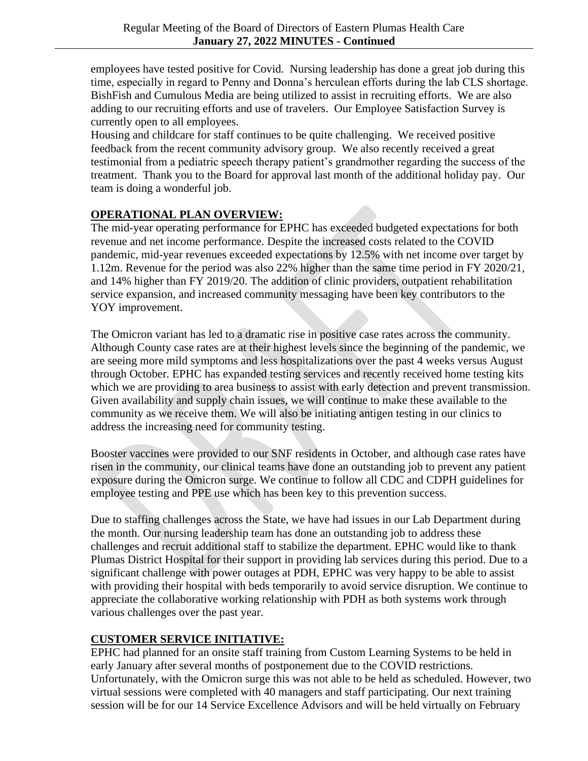employees have tested positive for Covid. Nursing leadership has done a great job during this time, especially in regard to Penny and Donna's herculean efforts during the lab CLS shortage. BishFish and Cumulous Media are being utilized to assist in recruiting efforts. We are also adding to our recruiting efforts and use of travelers. Our Employee Satisfaction Survey is currently open to all employees.

Housing and childcare for staff continues to be quite challenging. We received positive feedback from the recent community advisory group. We also recently received a great testimonial from a pediatric speech therapy patient's grandmother regarding the success of the treatment. Thank you to the Board for approval last month of the additional holiday pay. Our team is doing a wonderful job.

## **OPERATIONAL PLAN OVERVIEW:**

The mid-year operating performance for EPHC has exceeded budgeted expectations for both revenue and net income performance. Despite the increased costs related to the COVID pandemic, mid-year revenues exceeded expectations by 12.5% with net income over target by 1.12m. Revenue for the period was also 22% higher than the same time period in FY 2020/21, and 14% higher than FY 2019/20. The addition of clinic providers, outpatient rehabilitation service expansion, and increased community messaging have been key contributors to the YOY improvement.

The Omicron variant has led to a dramatic rise in positive case rates across the community. Although County case rates are at their highest levels since the beginning of the pandemic, we are seeing more mild symptoms and less hospitalizations over the past 4 weeks versus August through October. EPHC has expanded testing services and recently received home testing kits which we are providing to area business to assist with early detection and prevent transmission. Given availability and supply chain issues, we will continue to make these available to the community as we receive them. We will also be initiating antigen testing in our clinics to address the increasing need for community testing.

Booster vaccines were provided to our SNF residents in October, and although case rates have risen in the community, our clinical teams have done an outstanding job to prevent any patient exposure during the Omicron surge. We continue to follow all CDC and CDPH guidelines for employee testing and PPE use which has been key to this prevention success.

Due to staffing challenges across the State, we have had issues in our Lab Department during the month. Our nursing leadership team has done an outstanding job to address these challenges and recruit additional staff to stabilize the department. EPHC would like to thank Plumas District Hospital for their support in providing lab services during this period. Due to a significant challenge with power outages at PDH, EPHC was very happy to be able to assist with providing their hospital with beds temporarily to avoid service disruption. We continue to appreciate the collaborative working relationship with PDH as both systems work through various challenges over the past year.

## **CUSTOMER SERVICE INITIATIVE:**

EPHC had planned for an onsite staff training from Custom Learning Systems to be held in early January after several months of postponement due to the COVID restrictions. Unfortunately, with the Omicron surge this was not able to be held as scheduled. However, two virtual sessions were completed with 40 managers and staff participating. Our next training session will be for our 14 Service Excellence Advisors and will be held virtually on February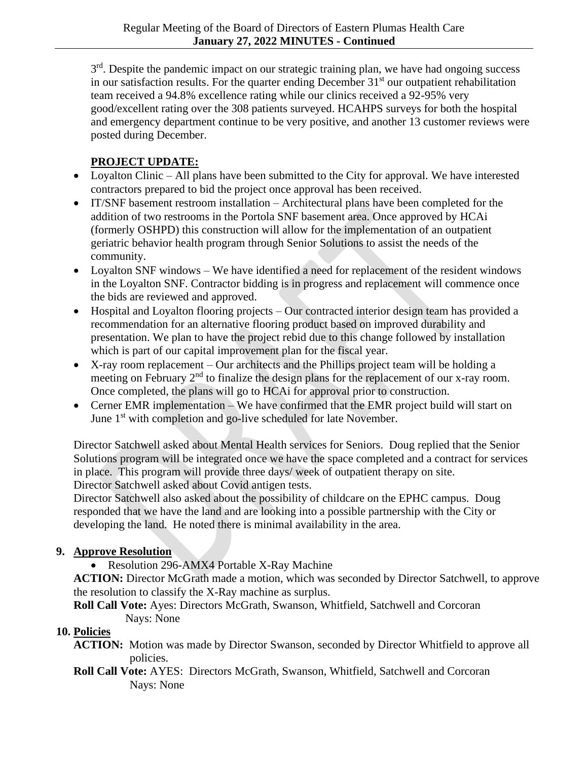$3<sup>rd</sup>$ . Despite the pandemic impact on our strategic training plan, we have had ongoing success in our satisfaction results. For the quarter ending December  $31<sup>st</sup>$  our outpatient rehabilitation team received a 94.8% excellence rating while our clinics received a 92-95% very good/excellent rating over the 308 patients surveyed. HCAHPS surveys for both the hospital and emergency department continue to be very positive, and another 13 customer reviews were posted during December.

# **PROJECT UPDATE:**

- Loyalton Clinic All plans have been submitted to the City for approval. We have interested contractors prepared to bid the project once approval has been received.
- IT/SNF basement restroom installation Architectural plans have been completed for the addition of two restrooms in the Portola SNF basement area. Once approved by HCAi (formerly OSHPD) this construction will allow for the implementation of an outpatient geriatric behavior health program through Senior Solutions to assist the needs of the community.
- Loyalton SNF windows We have identified a need for replacement of the resident windows in the Loyalton SNF. Contractor bidding is in progress and replacement will commence once the bids are reviewed and approved.
- Hospital and Loyalton flooring projects Our contracted interior design team has provided a recommendation for an alternative flooring product based on improved durability and presentation. We plan to have the project rebid due to this change followed by installation which is part of our capital improvement plan for the fiscal year.
- X-ray room replacement Our architects and the Phillips project team will be holding a meeting on February  $2<sup>nd</sup>$  to finalize the design plans for the replacement of our x-ray room. Once completed, the plans will go to HCAi for approval prior to construction.
- Cerner EMR implementation We have confirmed that the EMR project build will start on June 1<sup>st</sup> with completion and go-live scheduled for late November.

Director Satchwell asked about Mental Health services for Seniors. Doug replied that the Senior Solutions program will be integrated once we have the space completed and a contract for services in place. This program will provide three days/ week of outpatient therapy on site. Director Satchwell asked about Covid antigen tests.

Director Satchwell also asked about the possibility of childcare on the EPHC campus. Doug responded that we have the land and are looking into a possible partnership with the City or developing the land. He noted there is minimal availability in the area.

# **9. Approve Resolution**

• Resolution 296-AMX4 Portable X-Ray Machine

**ACTION:** Director McGrath made a motion, which was seconded by Director Satchwell, to approve the resolution to classify the X-Ray machine as surplus.

**Roll Call Vote:** Ayes: Directors McGrath, Swanson, Whitfield, Satchwell and Corcoran Nays: None

## **10. Policies**

- **ACTION:** Motion was made by Director Swanson, seconded by Director Whitfield to approve all policies.
- **Roll Call Vote:** AYES: Directors McGrath, Swanson, Whitfield, Satchwell and Corcoran Nays: None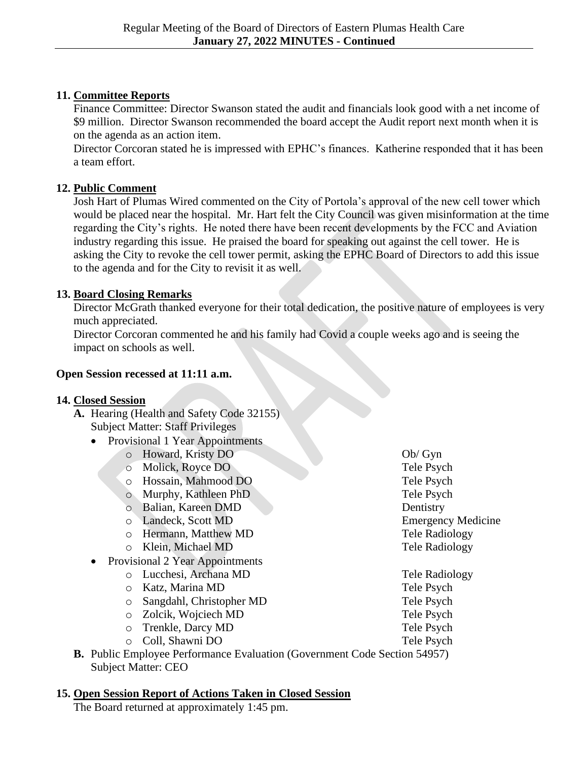## **11. Committee Reports**

Finance Committee: Director Swanson stated the audit and financials look good with a net income of \$9 million. Director Swanson recommended the board accept the Audit report next month when it is on the agenda as an action item.

Director Corcoran stated he is impressed with EPHC's finances. Katherine responded that it has been a team effort.

## **12. Public Comment**

Josh Hart of Plumas Wired commented on the City of Portola's approval of the new cell tower which would be placed near the hospital. Mr. Hart felt the City Council was given misinformation at the time regarding the City's rights. He noted there have been recent developments by the FCC and Aviation industry regarding this issue. He praised the board for speaking out against the cell tower. He is asking the City to revoke the cell tower permit, asking the EPHC Board of Directors to add this issue to the agenda and for the City to revisit it as well.

## **13. Board Closing Remarks**

Director McGrath thanked everyone for their total dedication, the positive nature of employees is very much appreciated.

Director Corcoran commented he and his family had Covid a couple weeks ago and is seeing the impact on schools as well.

## **Open Session recessed at 11:11 a.m.**

## **14. Closed Session**

- **A.** Hearing (Health and Safety Code 32155) Subject Matter: Staff Privileges
	- Provisional 1 Year Appointments
		- o Howard, Kristy DO Ob/ Gyn
		- o Molick, Royce DO Tele Psych
		- o Hossain, Mahmood DO Tele Psych
		- o Murphy, Kathleen PhD Tele Psych
		- o Balian, Kareen DMD Dentistry
		-
		- o Hermann, Matthew MD Tele Radiology
		- o Klein, Michael MD Tele Radiology
	- Provisional 2 Year Appointments
		- o Lucchesi, Archana MD Tele Radiology
		- o Katz, Marina MD Tele Psych
		- o Sangdahl, Christopher MD Tele Psych
		- o Zolcik, Wojciech MD Tele Psych
		- o Trenkle, Darcy MD Tele Psych
		- o Coll, Shawni DO Tele Psych

o Landeck, Scott MD Emergency Medicine

**B.** Public Employee Performance Evaluation (Government Code Section 54957) Subject Matter: CEO

# **15. Open Session Report of Actions Taken in Closed Session**

The Board returned at approximately 1:45 pm.